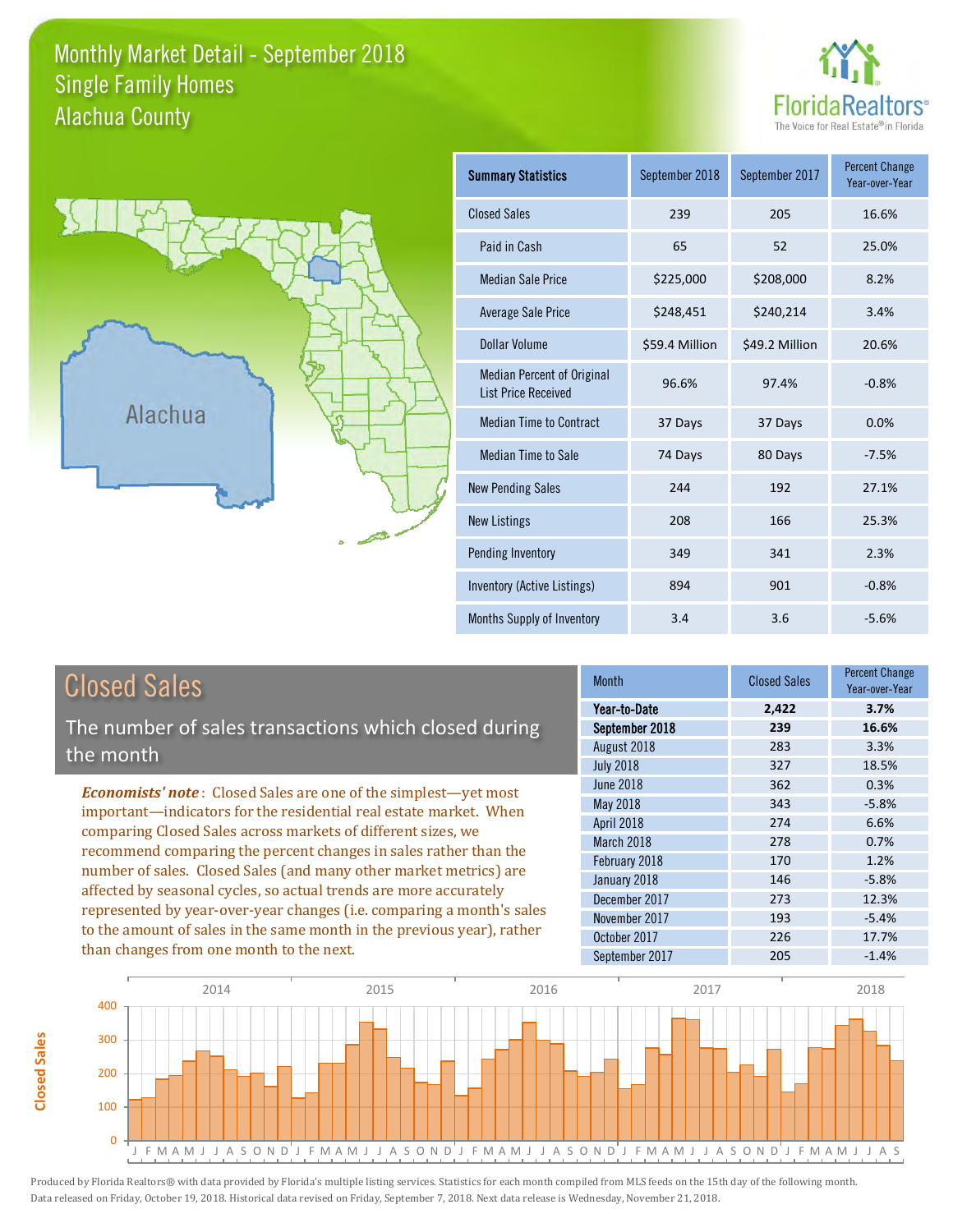### Monthly Market Detail - September 2018 Alachua County Single Family Homes





**Closed Sales**

**Closed Sales** 

| <b>Summary Statistics</b>                                       | September 2018 | September 2017 | <b>Percent Change</b><br>Year-over-Year |
|-----------------------------------------------------------------|----------------|----------------|-----------------------------------------|
| <b>Closed Sales</b>                                             | 239            | 205            | 16.6%                                   |
| Paid in Cash                                                    | 65             | 52             | 25.0%                                   |
| <b>Median Sale Price</b>                                        | \$225,000      | \$208,000      | 8.2%                                    |
| <b>Average Sale Price</b>                                       | \$248,451      | \$240,214      | 3.4%                                    |
| Dollar Volume                                                   | \$59.4 Million | \$49.2 Million | 20.6%                                   |
| <b>Median Percent of Original</b><br><b>List Price Received</b> | 96.6%          | 97.4%          | $-0.8%$                                 |
| <b>Median Time to Contract</b>                                  | 37 Days        | 37 Days        | 0.0%                                    |
| Median Time to Sale                                             | 74 Days        | 80 Days        | $-7.5%$                                 |
| <b>New Pending Sales</b>                                        | 244            | 192            | 27.1%                                   |
| <b>New Listings</b>                                             | 208            | 166            | 25.3%                                   |
| Pending Inventory                                               | 349            | 341            | 2.3%                                    |
| Inventory (Active Listings)                                     | 894            | 901            | $-0.8%$                                 |
| Months Supply of Inventory                                      | 3.4            | 3.6            | $-5.6%$                                 |

| <b>Closed Sales</b>                                                                                                                                                                                                                                                                       | <b>Month</b>     | <b>Closed Sales</b> | <b>Percent Change</b><br>Year-over-Year |
|-------------------------------------------------------------------------------------------------------------------------------------------------------------------------------------------------------------------------------------------------------------------------------------------|------------------|---------------------|-----------------------------------------|
|                                                                                                                                                                                                                                                                                           | Year-to-Date     | 2,422               | 3.7%                                    |
| The number of sales transactions which closed during                                                                                                                                                                                                                                      | September 2018   | 239                 | 16.6%                                   |
| the month                                                                                                                                                                                                                                                                                 | August 2018      | 283                 | 3.3%                                    |
|                                                                                                                                                                                                                                                                                           | <b>July 2018</b> | 327                 | 18.5%                                   |
| <b>Economists' note:</b> Closed Sales are one of the simplest—yet most                                                                                                                                                                                                                    | <b>June 2018</b> | 362                 | 0.3%                                    |
| important—indicators for the residential real estate market. When                                                                                                                                                                                                                         | May 2018         | 343                 | $-5.8%$                                 |
| comparing Closed Sales across markets of different sizes, we                                                                                                                                                                                                                              | April 2018       | 274                 | 6.6%                                    |
| recommend comparing the percent changes in sales rather than the                                                                                                                                                                                                                          | March 2018       | 278                 | 0.7%                                    |
| number of sales. Closed Sales (and many other market metrics) are<br>affected by seasonal cycles, so actual trends are more accurately<br>represented by year-over-year changes (i.e. comparing a month's sales<br>to the amount of sales in the same month in the previous year), rather | February 2018    | 170                 | 1.2%                                    |
|                                                                                                                                                                                                                                                                                           | January 2018     | 146                 | $-5.8%$                                 |
|                                                                                                                                                                                                                                                                                           | December 2017    | 273                 | 12.3%                                   |
|                                                                                                                                                                                                                                                                                           | November 2017    | 193                 | $-5.4%$                                 |
|                                                                                                                                                                                                                                                                                           | October 2017     | 226                 | 17.7%                                   |
| than changes from one month to the next.                                                                                                                                                                                                                                                  | September 2017   | 205                 | $-1.4%$                                 |

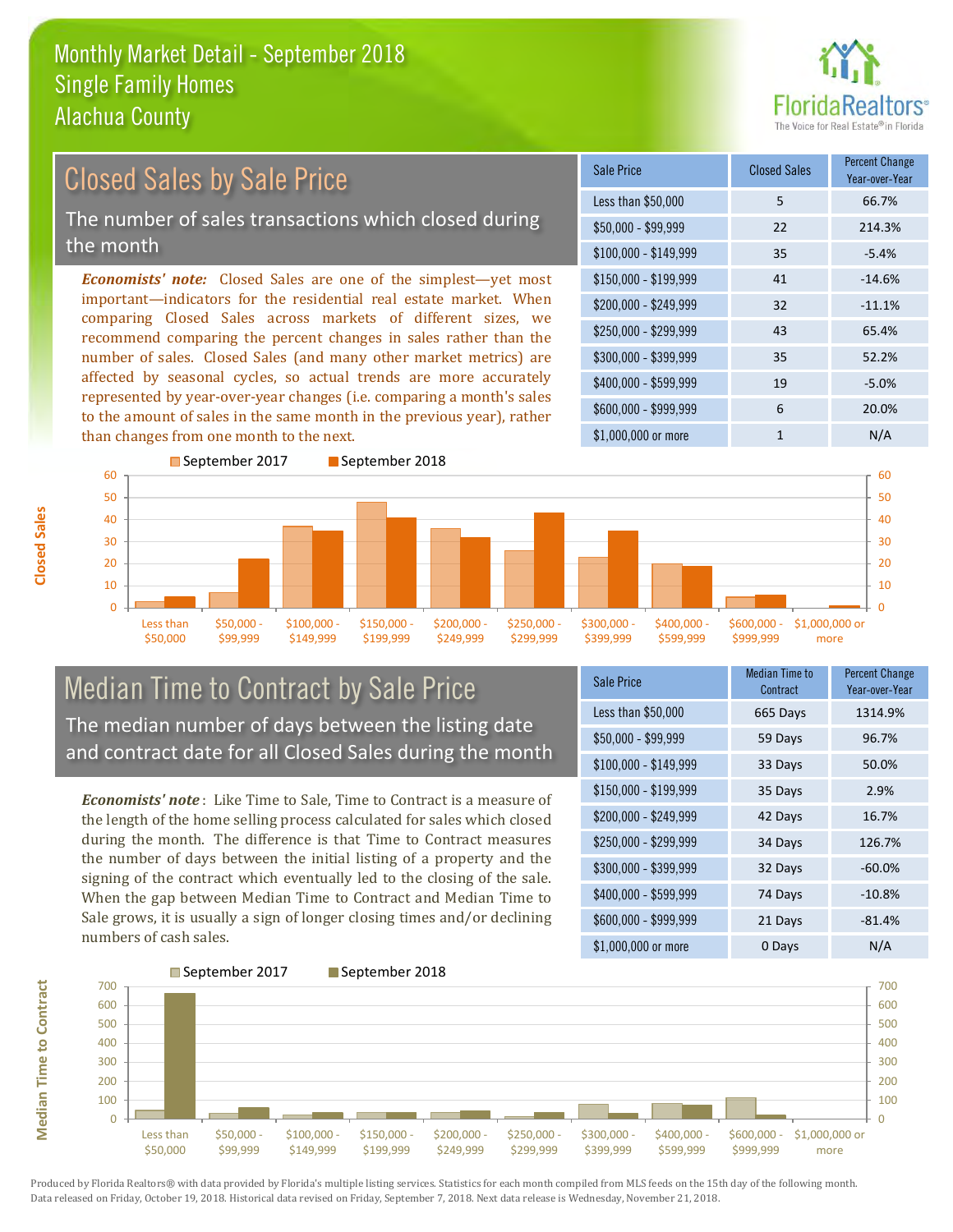

### \$100,000 - \$149,999 35 -5.4% Sale Price Closed Sales Percent Change Year-over-Year Less than \$50,000 5 66.7% \$50,000 - \$99,999 22 214.3% \$150,000 - \$199,999 41 -14.6% \$200,000 - \$249,999 32 -11.1% \$400,000 - \$599,999 19 -5.0% \$600,000 - \$999,999 6 20.0% *Economists' note:* Closed Sales are one of the simplest—yet most important—indicators for the residential real estate market. When comparing Closed Sales across markets of different sizes, we recommend comparing the percent changes in sales rather than the number of sales. Closed Sales (and many other market metrics) are affected by seasonal cycles, so actual trends are more accurately represented by year-over-year changes (i.e. comparing a month's sales to the amount of sales in the same month in the previous year), rather than changes from one month to the next. \$1,000,000 or more 1 N/A \$250,000 - \$299,999 43 65.4% \$300,000 - \$399,999 35 52.2% September 2017 September 2018 Closed Sales by Sale Price The number of sales transactions which closed during the month



## Median Time to Contract by Sale Price The median number of days between the listing date and contract date for all Closed Sales during the month

*Economists' note* : Like Time to Sale, Time to Contract is a measure of the length of the home selling process calculated for sales which closed during the month. The difference is that Time to Contract measures the number of days between the initial listing of a property and the signing of the contract which eventually led to the closing of the sale. When the gap between Median Time to Contract and Median Time to Sale grows, it is usually a sign of longer closing times and/or declining numbers of cash sales.

| Sale Price            | <b>Median Time to</b><br>Contract | <b>Percent Change</b><br>Year-over-Year |
|-----------------------|-----------------------------------|-----------------------------------------|
| Less than \$50,000    | 665 Days                          | 1314.9%                                 |
| $$50,000 - $99,999$   | 59 Days                           | 96.7%                                   |
| $$100,000 - $149,999$ | 33 Days                           | 50.0%                                   |
| $$150,000 - $199,999$ | 35 Days                           | 2.9%                                    |
| \$200,000 - \$249,999 | 42 Days                           | 16.7%                                   |
| \$250,000 - \$299,999 | 34 Days                           | 126.7%                                  |
| \$300,000 - \$399,999 | 32 Days                           | $-60.0%$                                |
| \$400,000 - \$599,999 | 74 Days                           | $-10.8%$                                |
| \$600,000 - \$999,999 | 21 Days                           | $-81.4%$                                |
| \$1,000,000 or more   | 0 Days                            | N/A                                     |

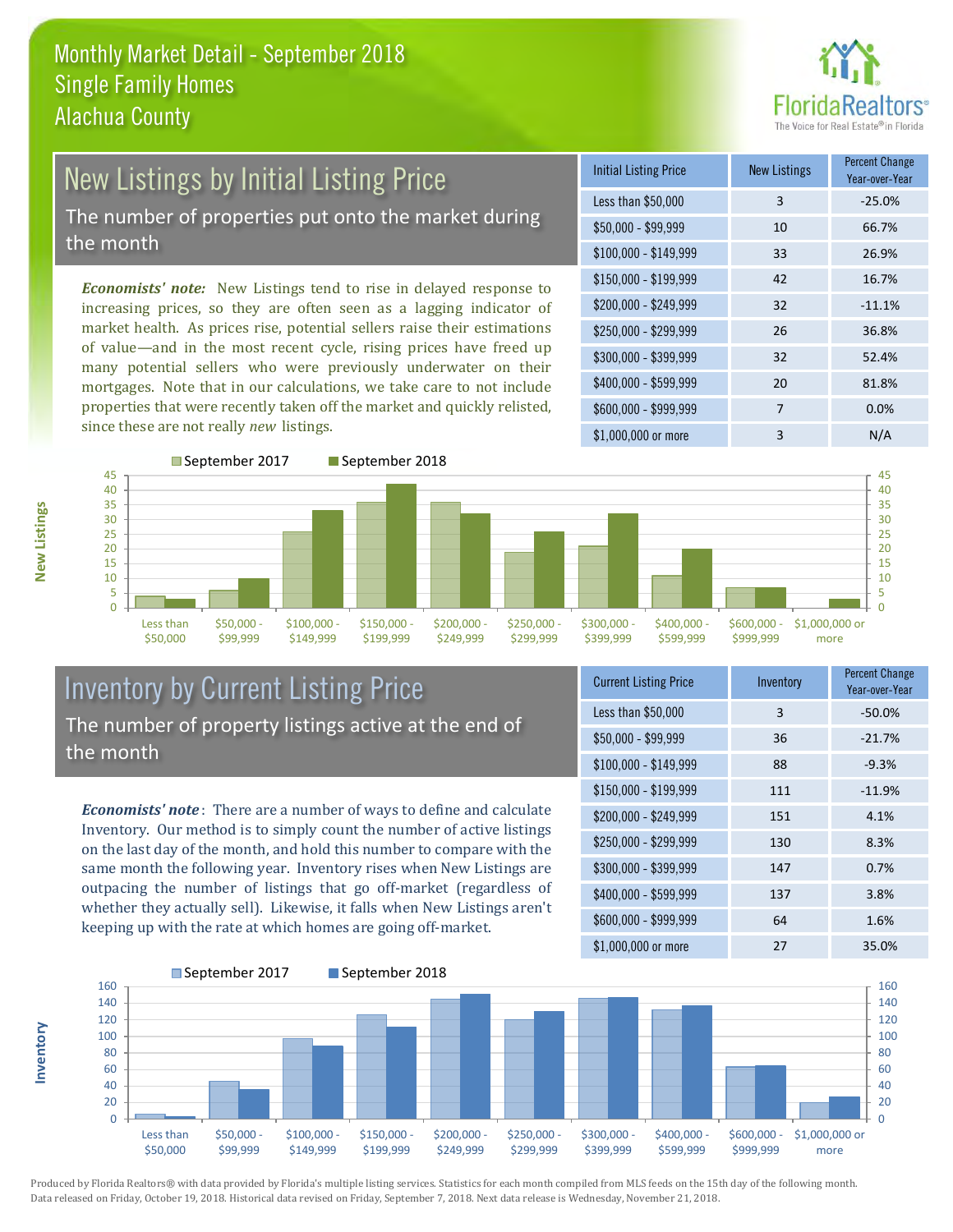

# New Listings by Initial Listing Price The number of properties put onto the market during the month

*Economists' note:* New Listings tend to rise in delayed response to increasing prices, so they are often seen as a lagging indicator of market health. As prices rise, potential sellers raise their estimations of value—and in the most recent cycle, rising prices have freed up many potential sellers who were previously underwater on their mortgages. Note that in our calculations, we take care to not include properties that were recently taken off the market and quickly relisted, since these are not really *new* listings.

| <b>Initial Listing Price</b> | <b>New Listings</b> | <b>Percent Change</b><br>Year-over-Year |
|------------------------------|---------------------|-----------------------------------------|
| Less than \$50,000           | 3                   | $-25.0%$                                |
| $$50,000 - $99,999$          | 10                  | 66.7%                                   |
| $$100,000 - $149,999$        | 33                  | 26.9%                                   |
| \$150,000 - \$199,999        | 42                  | 16.7%                                   |
| \$200,000 - \$249,999        | 32                  | $-11.1%$                                |
| \$250,000 - \$299,999        | 26                  | 36.8%                                   |
| \$300,000 - \$399,999        | 32                  | 52.4%                                   |
| \$400,000 - \$599,999        | 20                  | 81.8%                                   |
| \$600,000 - \$999,999        | 7                   | 0.0%                                    |
| \$1,000,000 or more          | 3                   | N/A                                     |



# Inventory by Current Listing Price The number of property listings active at the end of the month

*Economists' note* : There are a number of ways to define and calculate Inventory. Our method is to simply count the number of active listings on the last day of the month, and hold this number to compare with the same month the following year. Inventory rises when New Listings are outpacing the number of listings that go off-market (regardless of whether they actually sell). Likewise, it falls when New Listings aren't keeping up with the rate at which homes are going off-market.

| <b>Current Listing Price</b> | Inventory | Percent Change<br>Year-over-Year |
|------------------------------|-----------|----------------------------------|
| Less than \$50,000           | 3         | $-50.0%$                         |
| $$50,000 - $99,999$          | 36        | $-21.7%$                         |
| $$100,000 - $149,999$        | 88        | $-9.3%$                          |
| $$150,000 - $199,999$        | 111       | $-11.9%$                         |
| \$200,000 - \$249,999        | 151       | 4.1%                             |
| \$250,000 - \$299,999        | 130       | 8.3%                             |
| \$300,000 - \$399,999        | 147       | 0.7%                             |
| \$400,000 - \$599,999        | 137       | 3.8%                             |
| \$600,000 - \$999,999        | 64        | 1.6%                             |
| \$1,000,000 or more          | 27        | 35.0%                            |



Produced by Florida Realtors® with data provided by Florida's multiple listing services. Statistics for each month compiled from MLS feeds on the 15th day of the following month. Data released on Friday, October 19, 2018. Historical data revised on Friday, September 7, 2018. Next data release is Wednesday, November 21, 2018.

**Inventory**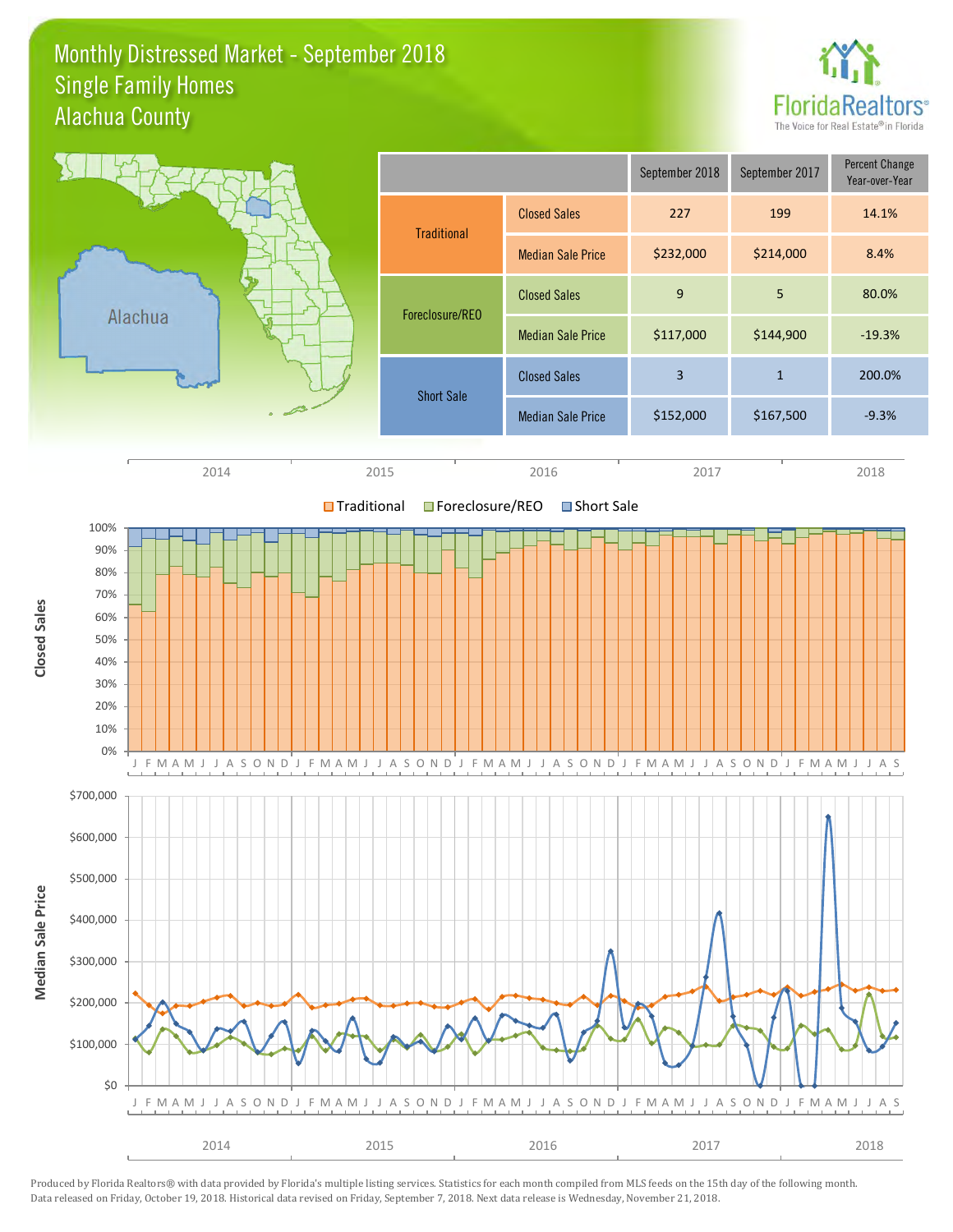### Monthly Distressed Market - September 2018 Alachua County Single Family Homes



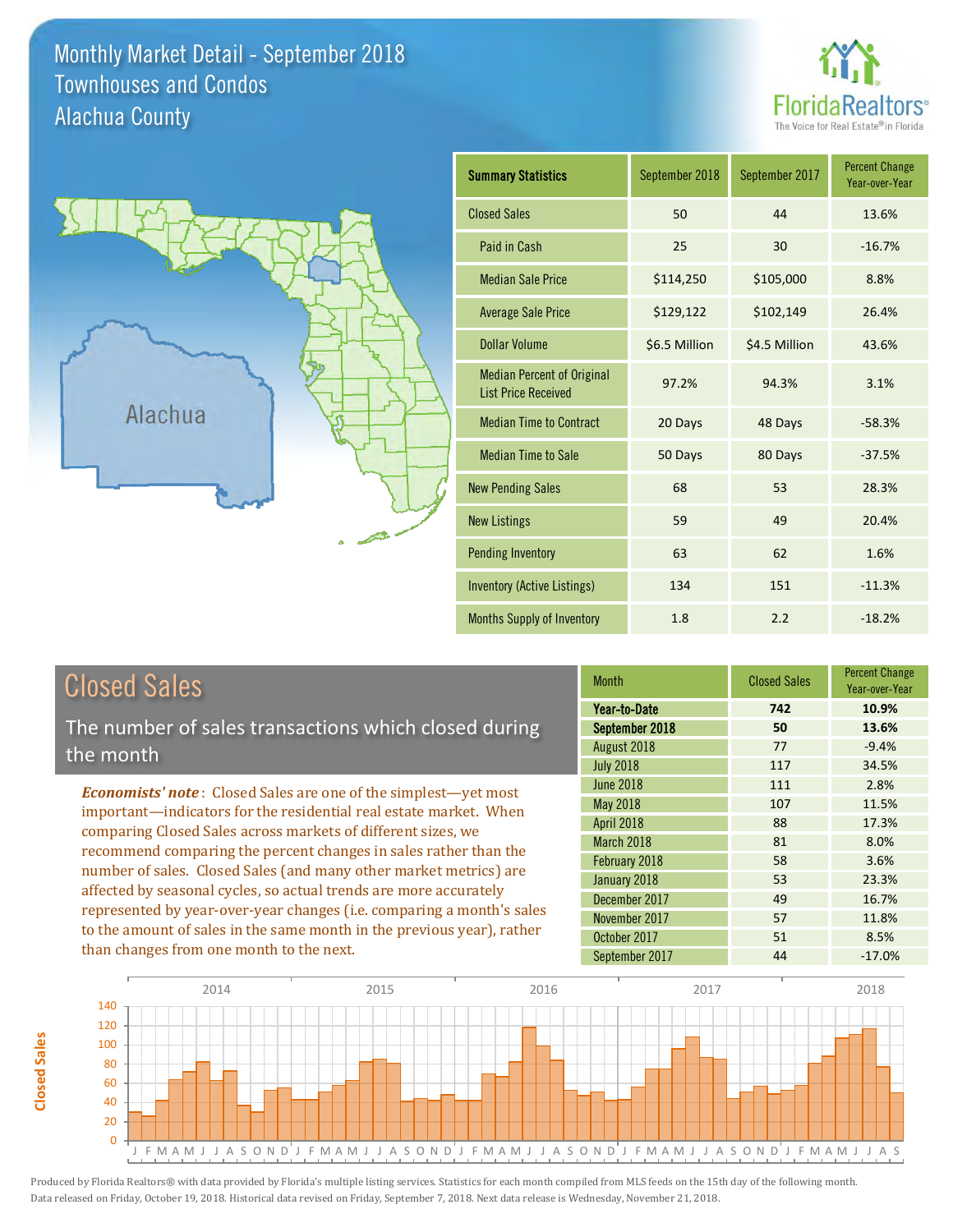### Monthly Market Detail - September 2018 Alachua County Townhouses and Condos





**Closed Sales**

**Closed Sales** 

| <b>Summary Statistics</b>                                       | September 2018 | September 2017 | <b>Percent Change</b><br>Year-over-Year |
|-----------------------------------------------------------------|----------------|----------------|-----------------------------------------|
| <b>Closed Sales</b>                                             | 50             | 44             | 13.6%                                   |
| Paid in Cash                                                    | 25             | 30             | $-16.7%$                                |
| <b>Median Sale Price</b>                                        | \$114,250      | \$105,000      | 8.8%                                    |
| <b>Average Sale Price</b>                                       | \$129,122      | \$102,149      | 26.4%                                   |
| Dollar Volume                                                   | \$6.5 Million  | \$4.5 Million  | 43.6%                                   |
| <b>Median Percent of Original</b><br><b>List Price Received</b> | 97.2%          | 94.3%          | 3.1%                                    |
| <b>Median Time to Contract</b>                                  | 20 Days        | 48 Days        | $-58.3%$                                |
| <b>Median Time to Sale</b>                                      | 50 Days        | 80 Days        | $-37.5%$                                |
| <b>New Pending Sales</b>                                        | 68             | 53             | 28.3%                                   |
| <b>New Listings</b>                                             | 59             | 49             | 20.4%                                   |
| <b>Pending Inventory</b>                                        | 63             | 62             | 1.6%                                    |
| <b>Inventory (Active Listings)</b>                              | 134            | 151            | $-11.3%$                                |
| <b>Months Supply of Inventory</b>                               | 1.8            | 2.2            | $-18.2%$                                |

| <b>Closed Sales</b>                                                    | <b>Month</b>      | <b>Closed Sales</b> | <b>Percent Change</b><br>Year-over-Year |
|------------------------------------------------------------------------|-------------------|---------------------|-----------------------------------------|
|                                                                        | Year-to-Date      | 742                 | 10.9%                                   |
| The number of sales transactions which closed during                   | September 2018    | 50                  | 13.6%                                   |
| the month                                                              | August 2018       | 77                  | $-9.4%$                                 |
|                                                                        | <b>July 2018</b>  | 117                 | 34.5%                                   |
| <b>Economists' note:</b> Closed Sales are one of the simplest-yet most | <b>June 2018</b>  | 111                 | 2.8%                                    |
| important—indicators for the residential real estate market. When      | May 2018          | 107                 | 11.5%                                   |
| comparing Closed Sales across markets of different sizes, we           | <b>April 2018</b> | 88                  | 17.3%                                   |
| recommend comparing the percent changes in sales rather than the       | March 2018        | 81                  | 8.0%                                    |
| number of sales. Closed Sales (and many other market metrics) are      | February 2018     | 58                  | 3.6%                                    |
| affected by seasonal cycles, so actual trends are more accurately      | January 2018      | 53                  | 23.3%                                   |
|                                                                        | December 2017     | 49                  | 16.7%                                   |
| represented by year-over-year changes (i.e. comparing a month's sales  | November 2017     | 57                  | 11.8%                                   |
| to the amount of sales in the same month in the previous year), rather | October 2017      | 51                  | 8.5%                                    |
| than changes from one month to the next.                               | September 2017    | 44                  | $-17.0%$                                |

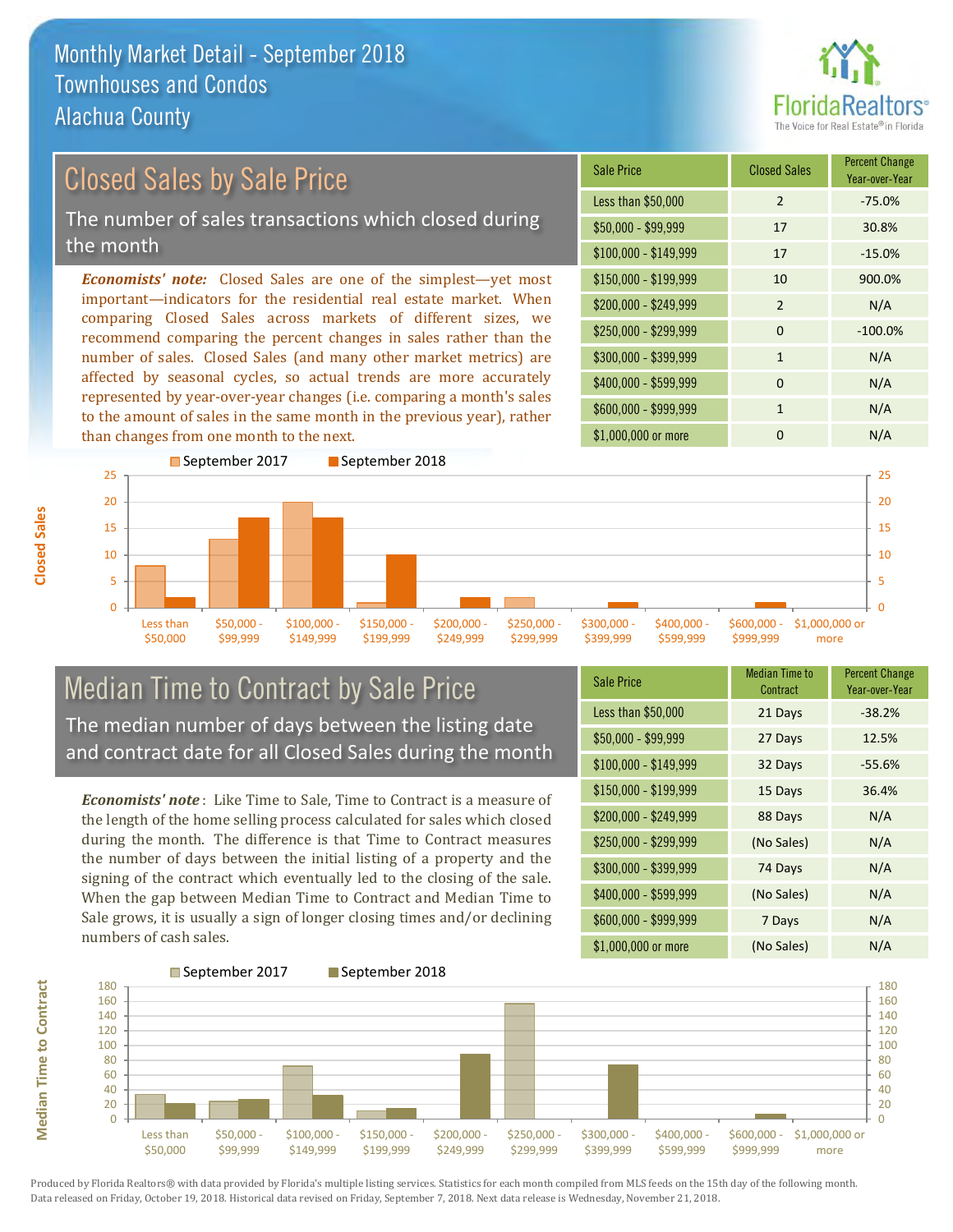

### \$100,000 - \$149,999 17 -15.0% Sale Price Closed Sales Percent Change Year-over-Year Less than \$50,000 2 -75.0% \$50,000 - \$99,999 17 30.8% \$150,000 - \$199,999 10 900.0% \$200,000 - \$249,999 2 N/A  $$400,000 - $599,999$  0 N/A \$600,000 - \$999,999 1 1 N/A *Economists' note:* Closed Sales are one of the simplest—yet most important—indicators for the residential real estate market. When comparing Closed Sales across markets of different sizes, we recommend comparing the percent changes in sales rather than the number of sales. Closed Sales (and many other market metrics) are affected by seasonal cycles, so actual trends are more accurately represented by year-over-year changes (i.e. comparing a month's sales  $$250,000 - $299,999$  0  $-100.0\%$ \$300,000 - \$399,999 1 1 N/A Closed Sales by Sale Price The number of sales transactions which closed during the month



# Median Time to Contract by Sale Price The median number of days between the listing date and contract date for all Closed Sales during the month

to the amount of sales in the same month in the previous year), rather

*Economists' note* : Like Time to Sale, Time to Contract is a measure of the length of the home selling process calculated for sales which closed during the month. The difference is that Time to Contract measures the number of days between the initial listing of a property and the signing of the contract which eventually led to the closing of the sale. When the gap between Median Time to Contract and Median Time to Sale grows, it is usually a sign of longer closing times and/or declining numbers of cash sales.

| <b>Sale Price</b>     | Median Time to<br>Contract | <b>Percent Change</b><br>Year-over-Year |
|-----------------------|----------------------------|-----------------------------------------|
| Less than \$50,000    | 21 Days                    | $-38.2%$                                |
| $$50,000 - $99,999$   | 27 Days                    | 12.5%                                   |
| $$100,000 - $149,999$ | 32 Days                    | $-55.6%$                                |
| $$150,000 - $199,999$ | 15 Days                    | 36.4%                                   |
| \$200,000 - \$249,999 | 88 Days                    | N/A                                     |
| \$250,000 - \$299,999 | (No Sales)                 | N/A                                     |
| \$300,000 - \$399,999 | 74 Days                    | N/A                                     |
| \$400,000 - \$599,999 | (No Sales)                 | N/A                                     |
| \$600,000 - \$999,999 | 7 Days                     | N/A                                     |
| \$1,000,000 or more   | (No Sales)                 | N/A                                     |



Produced by Florida Realtors® with data provided by Florida's multiple listing services. Statistics for each month compiled from MLS feeds on the 15th day of the following month. Data released on Friday, October 19, 2018. Historical data revised on Friday, September 7, 2018. Next data release is Wednesday, November 21, 2018.

**Median Time to Contract**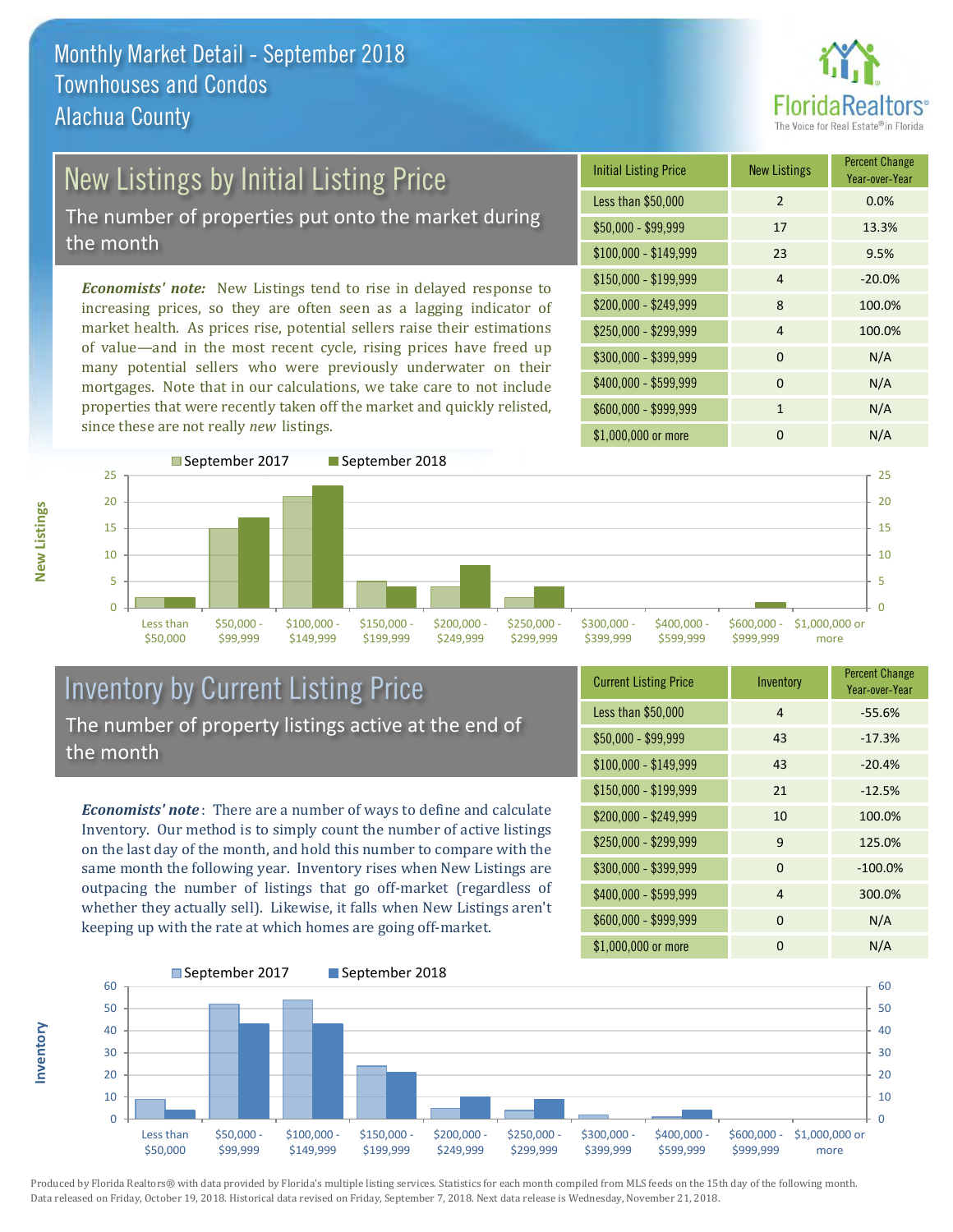

# New Listings by Initial Listing Price

The number of properties put onto the market during the month

*Economists' note:* New Listings tend to rise in delayed response to increasing prices, so they are often seen as a lagging indicator of market health. As prices rise, potential sellers raise their estimations of value—and in the most recent cycle, rising prices have freed up many potential sellers who were previously underwater on their mortgages. Note that in our calculations, we take care to not include properties that were recently taken off the market and quickly relisted, since these are not really *new* listings.





## Inventory by Current Listing Price The number of property listings active at the end of the month

*Economists' note* : There are a number of ways to define and calculate Inventory. Our method is to simply count the number of active listings on the last day of the month, and hold this number to compare with the same month the following year. Inventory rises when New Listings are outpacing the number of listings that go off-market (regardless of whether they actually sell). Likewise, it falls when New Listings aren't keeping up with the rate at which homes are going off-market.

**Inventory**

**New Listings**

| <b>Current Listing Price</b> | Inventory | <b>Percent Change</b><br>Year-over-Year |
|------------------------------|-----------|-----------------------------------------|
| Less than \$50,000           | 4         | $-55.6%$                                |
| \$50,000 - \$99,999          | 43        | $-17.3%$                                |
| $$100,000 - $149,999$        | 43        | $-20.4%$                                |
| $$150,000 - $199,999$        | 21        | $-12.5%$                                |
| \$200,000 - \$249,999        | 10        | 100.0%                                  |
| \$250,000 - \$299,999        | 9         | 125.0%                                  |
| \$300,000 - \$399,999        | $\Omega$  | $-100.0%$                               |
| \$400,000 - \$599,999        | 4         | 300.0%                                  |
| \$600,000 - \$999,999        | $\Omega$  | N/A                                     |
| \$1,000,000 or more          | 0         | N/A                                     |

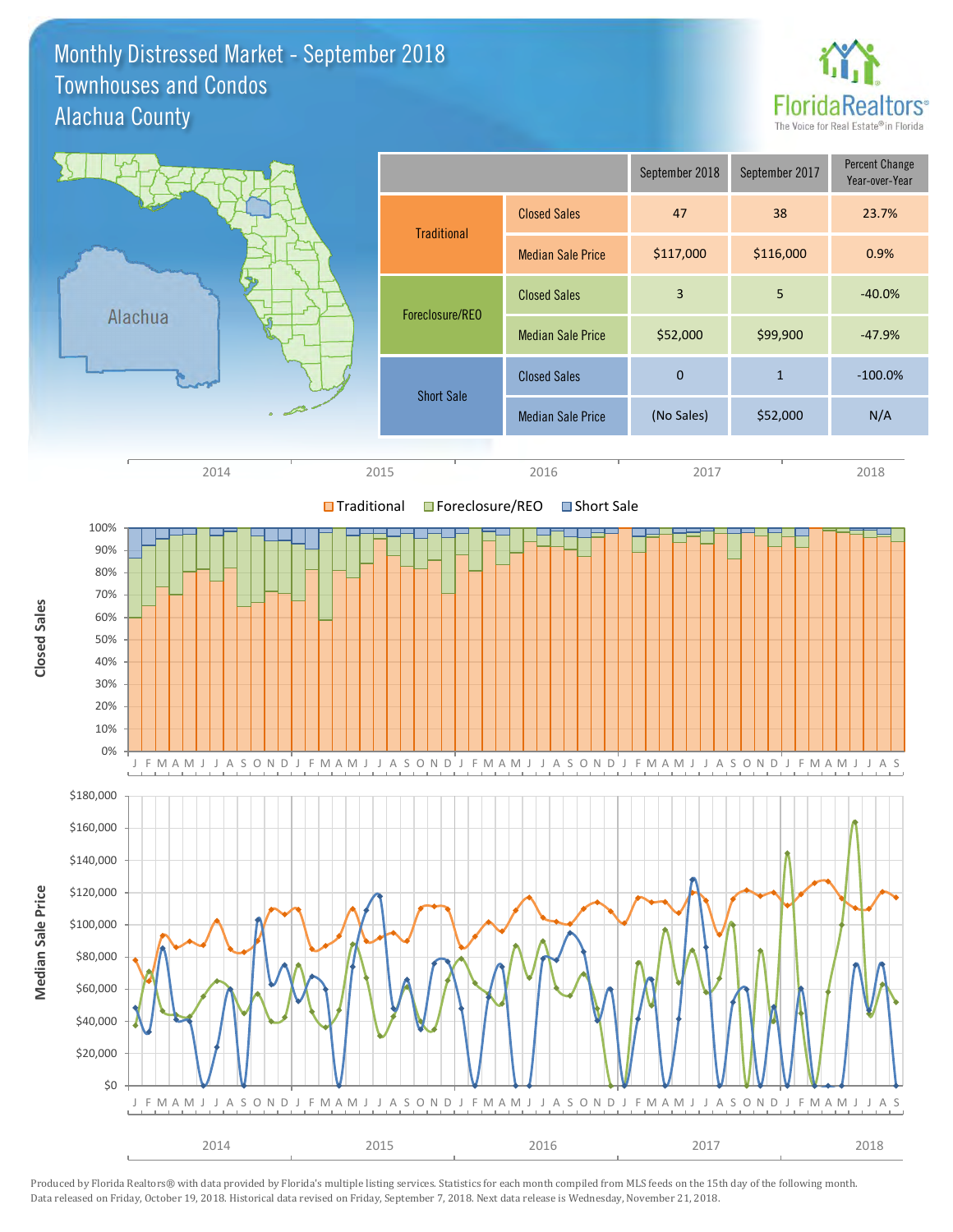### Monthly Distressed Market - September 2018 Alachua County Townhouses and Condos



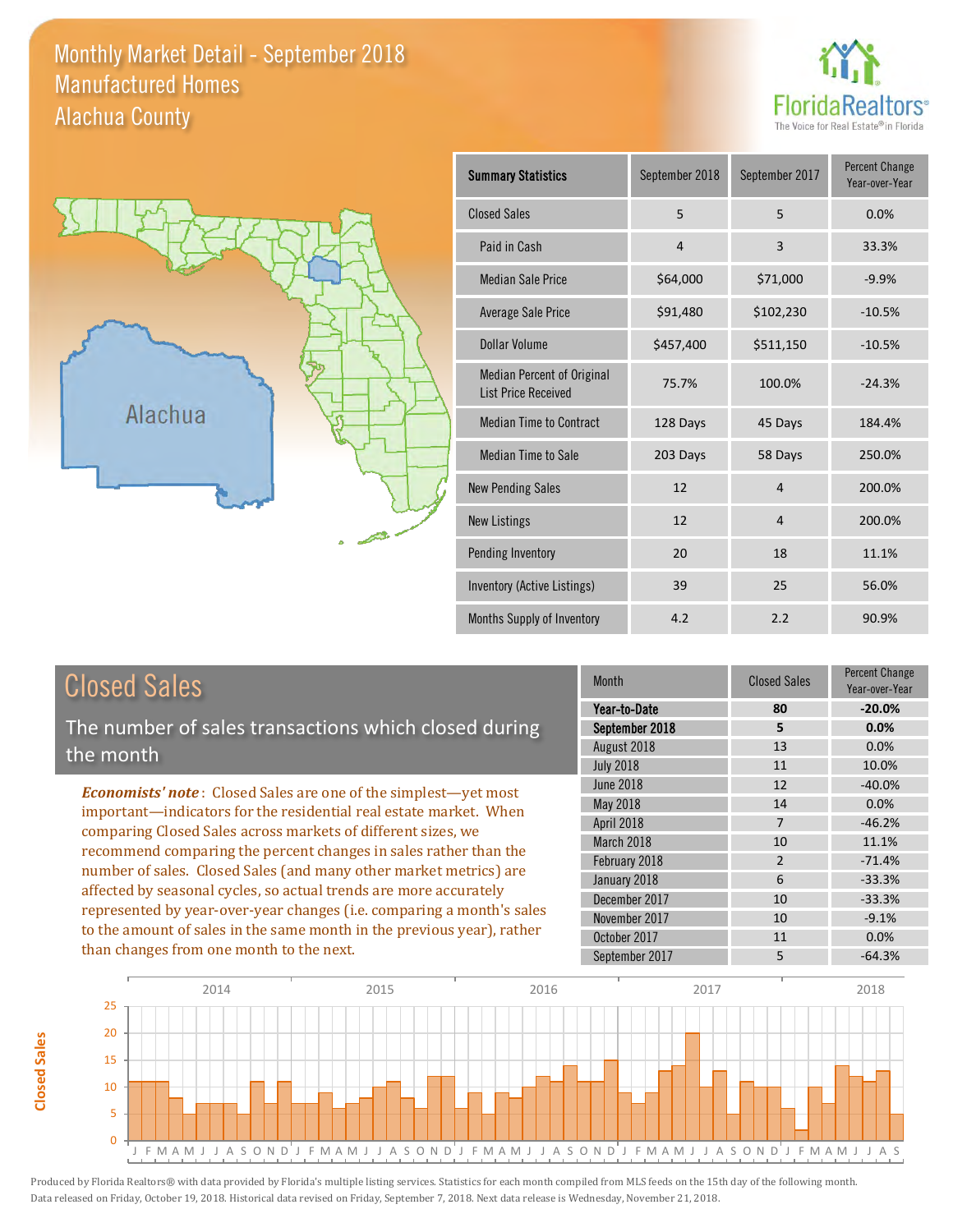### Monthly Market Detail - September 2018 Alachua County Manufactured Homes





**Closed Sales**

**Closed Sales** 

| <b>Summary Statistics</b>                                       | September 2018 | September 2017 | <b>Percent Change</b><br>Year-over-Year |
|-----------------------------------------------------------------|----------------|----------------|-----------------------------------------|
| <b>Closed Sales</b>                                             | 5              | 5              | 0.0%                                    |
| Paid in Cash                                                    | $\overline{4}$ | 3              | 33.3%                                   |
| <b>Median Sale Price</b>                                        | \$64,000       | \$71,000       | $-9.9%$                                 |
| <b>Average Sale Price</b>                                       | \$91,480       | \$102,230      | $-10.5%$                                |
| Dollar Volume                                                   | \$457,400      | \$511,150      | $-10.5%$                                |
| <b>Median Percent of Original</b><br><b>List Price Received</b> | 75.7%          | 100.0%         | $-24.3%$                                |
| <b>Median Time to Contract</b>                                  | 128 Days       | 45 Days        | 184.4%                                  |
| <b>Median Time to Sale</b>                                      | 203 Days       | 58 Days        | 250.0%                                  |
| <b>New Pending Sales</b>                                        | 12             | $\overline{4}$ | 200.0%                                  |
| <b>New Listings</b>                                             | 12             | $\overline{4}$ | 200.0%                                  |
| Pending Inventory                                               | 20             | 18             | 11.1%                                   |
| Inventory (Active Listings)                                     | 39             | 25             | 56.0%                                   |
| Months Supply of Inventory                                      | 4.2            | 2.2            | 90.9%                                   |

| <b>Closed Sales</b>                                                    | Month            | <b>Closed Sales</b> | <b>Percent Change</b><br>Year-over-Year |
|------------------------------------------------------------------------|------------------|---------------------|-----------------------------------------|
|                                                                        | Year-to-Date     | 80                  | $-20.0%$                                |
| The number of sales transactions which closed during                   | September 2018   | 5                   | 0.0%                                    |
| the month                                                              | August 2018      | 13                  | 0.0%                                    |
|                                                                        | <b>July 2018</b> | 11                  | 10.0%                                   |
| <b>Economists' note:</b> Closed Sales are one of the simplest—yet most | June 2018        | 12                  | $-40.0%$                                |
| important—indicators for the residential real estate market. When      | <b>May 2018</b>  | 14                  | 0.0%                                    |
| comparing Closed Sales across markets of different sizes, we           | April 2018       | 7                   | $-46.2%$                                |
| recommend comparing the percent changes in sales rather than the       | March 2018       | 10                  | 11.1%                                   |
| number of sales. Closed Sales (and many other market metrics) are      | February 2018    | $\overline{2}$      | $-71.4%$                                |
|                                                                        | January 2018     | 6                   | $-33.3%$                                |
| affected by seasonal cycles, so actual trends are more accurately      | December 2017    | 10                  | $-33.3%$                                |
| represented by year-over-year changes (i.e. comparing a month's sales  | November 2017    | 10                  | $-9.1%$                                 |
| to the amount of sales in the same month in the previous year), rather | October 2017     | 11                  | 0.0%                                    |
| than changes from one month to the next.                               | September 2017   | 5                   | $-64.3%$                                |

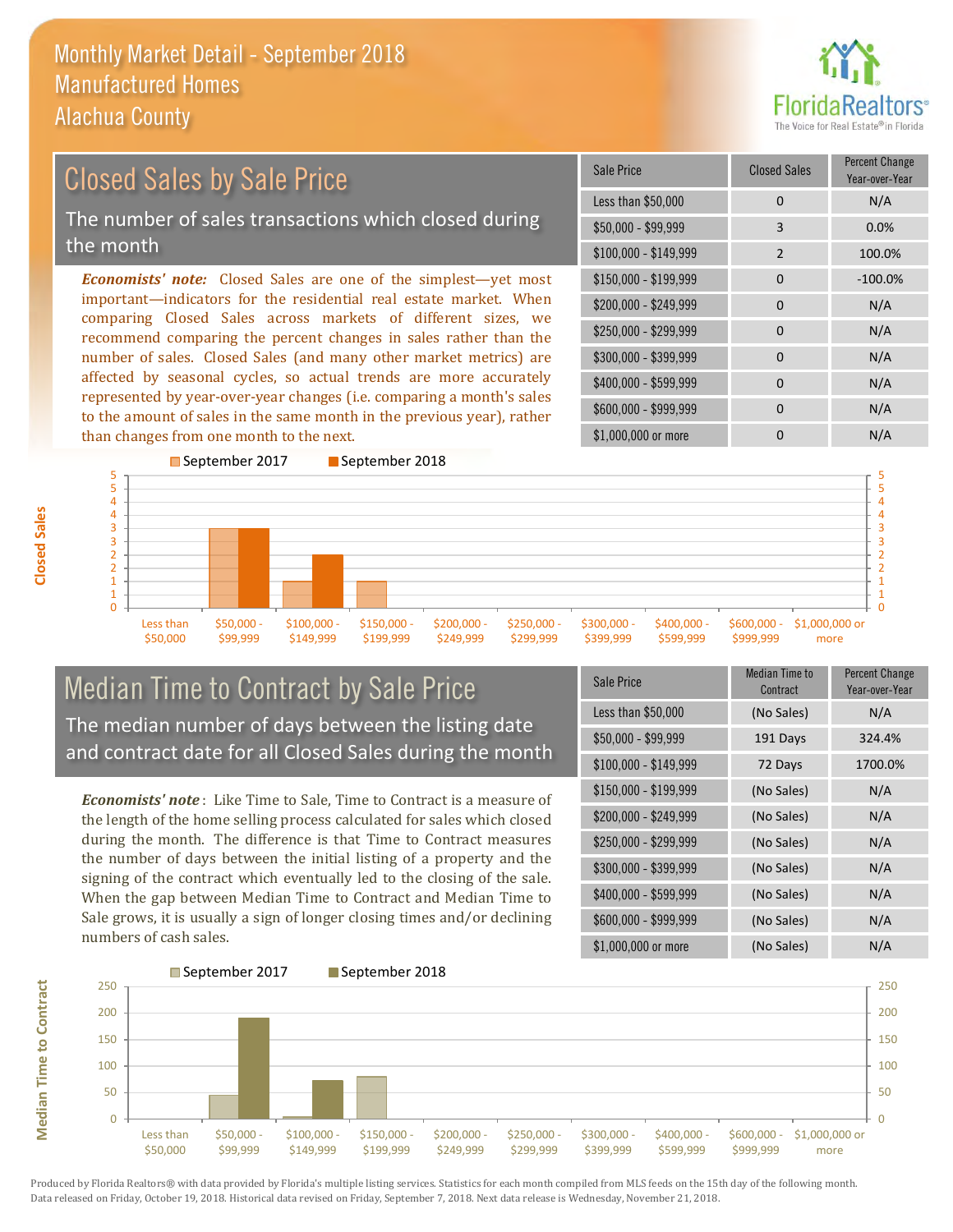than changes from one month to the next.



### \$100,000 - \$149,999 2 100.0% Sale Price Closed Sales Percent Change Year-over-Year Less than \$50,000 0 0 N/A \$50,000 - \$99,999 3 0.0% \$150,000 - \$199,999 0 -100.0%  $$200,000 - $249,999$  0 N/A  $$400,000 - $599,999$  0 N/A *Economists' note:* Closed Sales are one of the simplest—yet most important—indicators for the residential real estate market. When comparing Closed Sales across markets of different sizes, we recommend comparing the percent changes in sales rather than the number of sales. Closed Sales (and many other market metrics) are affected by seasonal cycles, so actual trends are more accurately represented by year-over-year changes (i.e. comparing a month's sales \$250,000 - \$299,999 0 0 N/A \$300,000 - \$399,999 0 0 N/A Closed Sales by Sale Price The number of sales transactions which closed during the month

0 1 1 2 2 3 3 4 4 5 5 Less than \$50,000 \$50,000 - \$99,999 \$100,000 - \$149,999 \$150,000 - \$199,999 \$200,000 - \$249,999 \$250,000 - \$299,999 \$300,000 - \$399,999 \$400,000 - \$599,999 \$600,000 - \$999,999 \$1,000,000 or more September 2017 September 2018

## Median Time to Contract by Sale Price The median number of days between the listing date and contract date for all Closed Sales during the month

to the amount of sales in the same month in the previous year), rather

*Economists' note* : Like Time to Sale, Time to Contract is a measure of the length of the home selling process calculated for sales which closed during the month. The difference is that Time to Contract measures the number of days between the initial listing of a property and the signing of the contract which eventually led to the closing of the sale. When the gap between Median Time to Contract and Median Time to Sale grows, it is usually a sign of longer closing times and/or declining numbers of cash sales.

| Sale Price            | <b>Median Time to</b><br>Contract | <b>Percent Change</b><br>Year-over-Year |
|-----------------------|-----------------------------------|-----------------------------------------|
| Less than \$50,000    | (No Sales)                        | N/A                                     |
| \$50,000 - \$99,999   | 191 Days                          | 324.4%                                  |
| $$100,000 - $149,999$ | 72 Days                           | 1700.0%                                 |
| $$150,000 - $199,999$ | (No Sales)                        | N/A                                     |
| \$200,000 - \$249,999 | (No Sales)                        | N/A                                     |
| \$250,000 - \$299,999 | (No Sales)                        | N/A                                     |
| \$300,000 - \$399,999 | (No Sales)                        | N/A                                     |
| \$400,000 - \$599,999 | (No Sales)                        | N/A                                     |
| \$600,000 - \$999,999 | (No Sales)                        | N/A                                     |
| \$1,000,000 or more   | (No Sales)                        | N/A                                     |

\$600,000 - \$999,999 0 0 N/A

\$1,000,000 or more 0 0 N/A



**Closed Sales**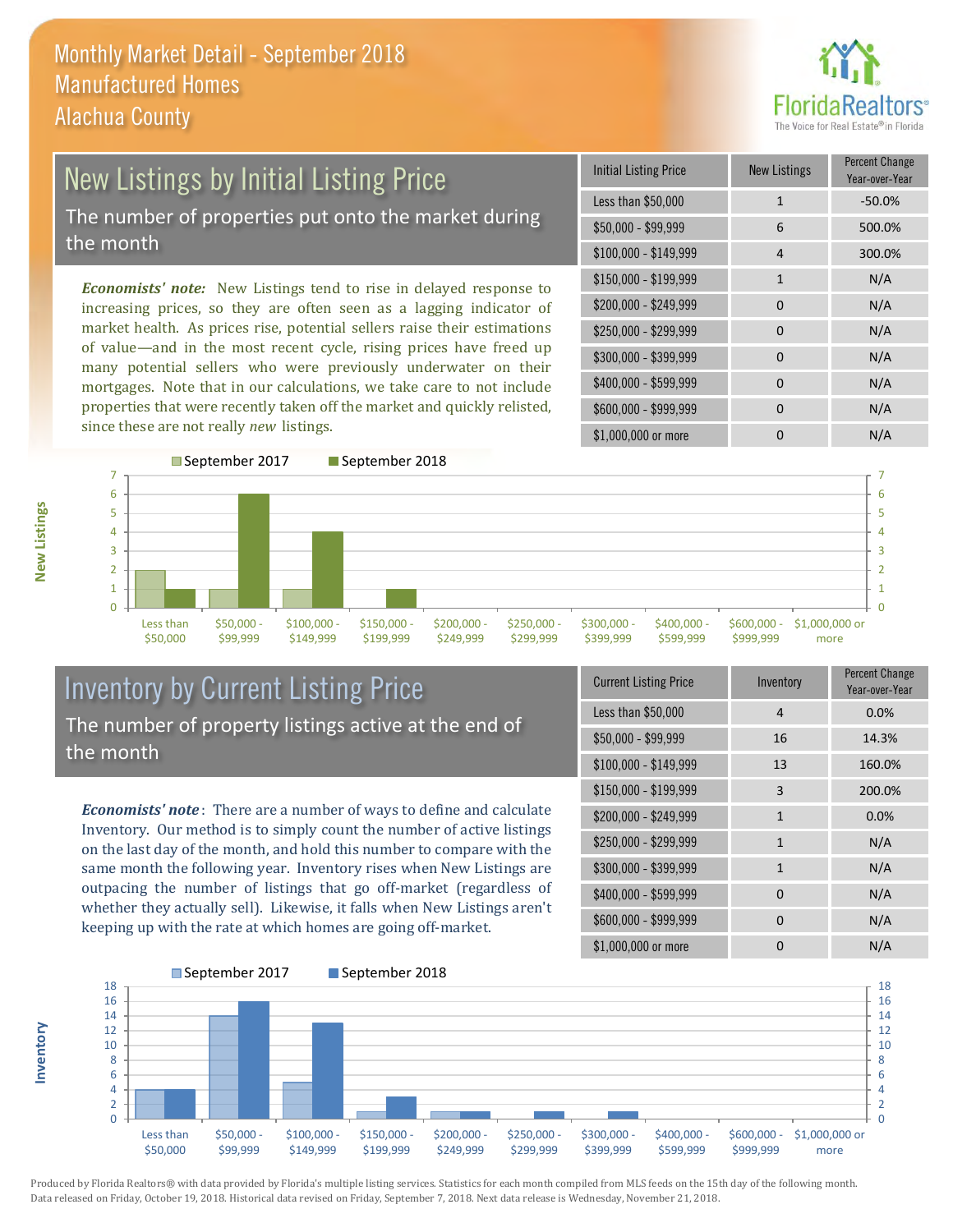

# New Listings by Initial Listing Price The number of properties put onto the market during the month

*Economists' note:* New Listings tend to rise in delayed response to increasing prices, so they are often seen as a lagging indicator of market health. As prices rise, potential sellers raise their estimations of value—and in the most recent cycle, rising prices have freed up many potential sellers who were previously underwater on their mortgages. Note that in our calculations, we take care to not include properties that were recently taken off the market and quickly relisted, since these are not really *new* listings.

| <b>Initial Listing Price</b> | <b>New Listings</b> | <b>Percent Change</b><br>Year-over-Year |
|------------------------------|---------------------|-----------------------------------------|
| Less than \$50,000           | $\mathbf{1}$        | $-50.0%$                                |
| $$50,000 - $99,999$          | 6                   | 500.0%                                  |
| $$100,000 - $149,999$        | 4                   | 300.0%                                  |
| $$150,000 - $199,999$        | $\mathbf{1}$        | N/A                                     |
| \$200,000 - \$249,999        | 0                   | N/A                                     |
| \$250,000 - \$299,999        | 0                   | N/A                                     |
| \$300,000 - \$399,999        | 0                   | N/A                                     |
| \$400,000 - \$599,999        | 0                   | N/A                                     |
| \$600,000 - \$999,999        | 0                   | N/A                                     |
| \$1,000,000 or more          | n                   | N/A                                     |



## Inventory by Current Listing Price The number of property listings active at the end of the month

*Economists' note* : There are a number of ways to define and calculate Inventory. Our method is to simply count the number of active listings on the last day of the month, and hold this number to compare with the same month the following year. Inventory rises when New Listings are outpacing the number of listings that go off-market (regardless of whether they actually sell). Likewise, it falls when New Listings aren't keeping up with the rate at which homes are going off-market.

| <b>Current Listing Price</b> | Inventory    | Percent Change<br>Year-over-Year |
|------------------------------|--------------|----------------------------------|
| Less than \$50,000           | 4            | 0.0%                             |
| $$50,000 - $99,999$          | 16           | 14.3%                            |
| \$100,000 - \$149,999        | 13           | 160.0%                           |
| $$150,000 - $199,999$        | 3            | 200.0%                           |
| \$200,000 - \$249,999        | 1            | 0.0%                             |
| \$250,000 - \$299,999        | $\mathbf{1}$ | N/A                              |
| \$300,000 - \$399,999        | $\mathbf{1}$ | N/A                              |
| \$400,000 - \$599,999        | $\Omega$     | N/A                              |
| \$600,000 - \$999,999        | $\Omega$     | N/A                              |
| \$1,000,000 or more          | ŋ            | N/A                              |



Produced by Florida Realtors® with data provided by Florida's multiple listing services. Statistics for each month compiled from MLS feeds on the 15th day of the following month. Data released on Friday, October 19, 2018. Historical data revised on Friday, September 7, 2018. Next data release is Wednesday, November 21, 2018.

**Inventory**